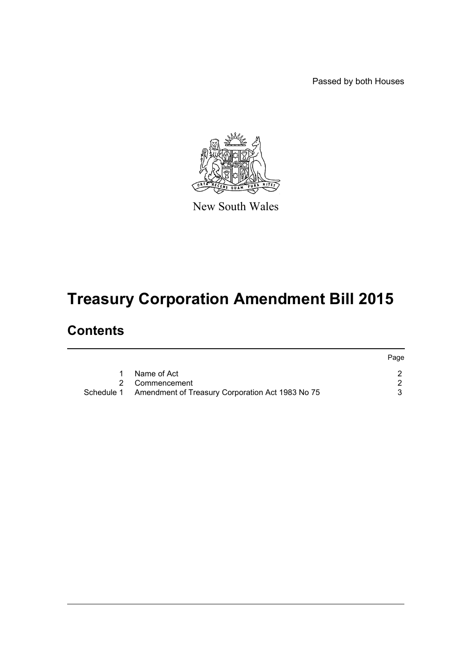Passed by both Houses



New South Wales

# **Treasury Corporation Amendment Bill 2015**

## **Contents**

|                                                             | Page |
|-------------------------------------------------------------|------|
| Name of Act                                                 |      |
| 2 Commencement                                              |      |
| Schedule 1 Amendment of Treasury Corporation Act 1983 No 75 |      |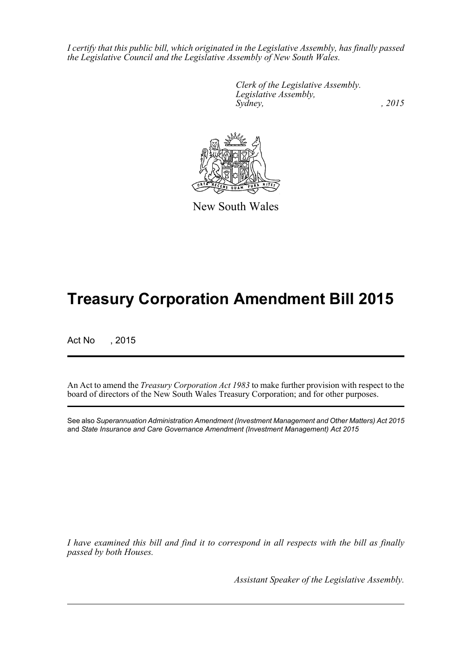*I certify that this public bill, which originated in the Legislative Assembly, has finally passed the Legislative Council and the Legislative Assembly of New South Wales.*

> *Clerk of the Legislative Assembly. Legislative Assembly, Sydney,* , 2015



New South Wales

## **Treasury Corporation Amendment Bill 2015**

Act No , 2015

An Act to amend the *Treasury Corporation Act 1983* to make further provision with respect to the board of directors of the New South Wales Treasury Corporation; and for other purposes.

See also *Superannuation Administration Amendment (Investment Management and Other Matters) Act 2015* and *State Insurance and Care Governance Amendment (Investment Management) Act 2015*

*I have examined this bill and find it to correspond in all respects with the bill as finally passed by both Houses.*

*Assistant Speaker of the Legislative Assembly.*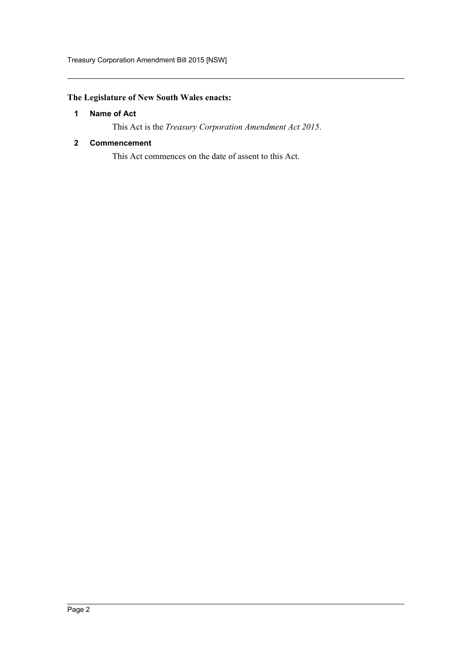### <span id="page-2-0"></span>**The Legislature of New South Wales enacts:**

#### **1 Name of Act**

This Act is the *Treasury Corporation Amendment Act 2015*.

#### <span id="page-2-1"></span>**2 Commencement**

This Act commences on the date of assent to this Act.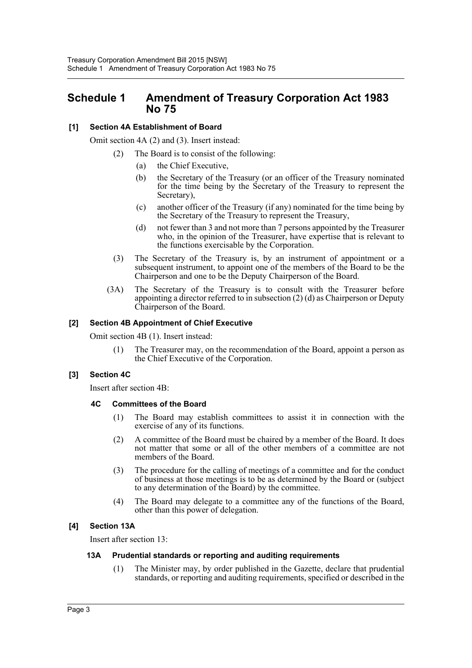## <span id="page-3-0"></span>**Schedule 1 Amendment of Treasury Corporation Act 1983 No 75**

#### **[1] Section 4A Establishment of Board**

Omit section 4A (2) and (3). Insert instead:

- (2) The Board is to consist of the following:
	- (a) the Chief Executive,
	- (b) the Secretary of the Treasury (or an officer of the Treasury nominated for the time being by the Secretary of the Treasury to represent the Secretary),
	- (c) another officer of the Treasury (if any) nominated for the time being by the Secretary of the Treasury to represent the Treasury,
	- (d) not fewer than 3 and not more than 7 persons appointed by the Treasurer who, in the opinion of the Treasurer, have expertise that is relevant to the functions exercisable by the Corporation.
- (3) The Secretary of the Treasury is, by an instrument of appointment or a subsequent instrument, to appoint one of the members of the Board to be the Chairperson and one to be the Deputy Chairperson of the Board.
- (3A) The Secretary of the Treasury is to consult with the Treasurer before appointing a director referred to in subsection (2) (d) as Chairperson or Deputy Chairperson of the Board.

#### **[2] Section 4B Appointment of Chief Executive**

Omit section 4B (1). Insert instead:

(1) The Treasurer may, on the recommendation of the Board, appoint a person as the Chief Executive of the Corporation.

#### **[3] Section 4C**

Insert after section 4B:

#### **4C Committees of the Board**

- (1) The Board may establish committees to assist it in connection with the exercise of any of its functions.
- (2) A committee of the Board must be chaired by a member of the Board. It does not matter that some or all of the other members of a committee are not members of the Board.
- (3) The procedure for the calling of meetings of a committee and for the conduct of business at those meetings is to be as determined by the Board or (subject to any determination of the Board) by the committee.
- (4) The Board may delegate to a committee any of the functions of the Board, other than this power of delegation.

#### **[4] Section 13A**

Insert after section 13:

#### **13A Prudential standards or reporting and auditing requirements**

(1) The Minister may, by order published in the Gazette, declare that prudential standards, or reporting and auditing requirements, specified or described in the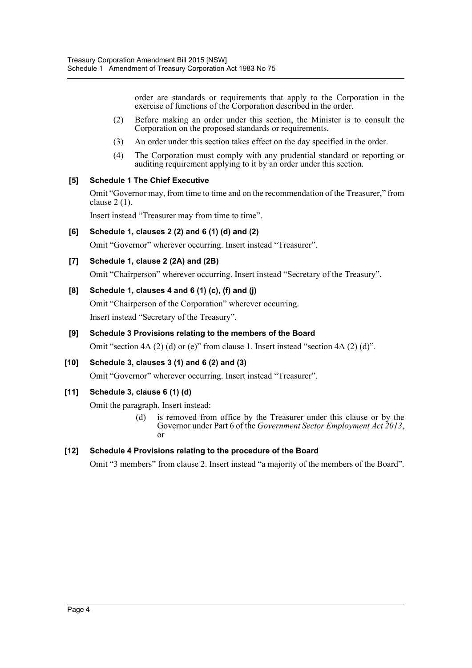order are standards or requirements that apply to the Corporation in the exercise of functions of the Corporation described in the order.

- (2) Before making an order under this section, the Minister is to consult the Corporation on the proposed standards or requirements.
- (3) An order under this section takes effect on the day specified in the order.
- (4) The Corporation must comply with any prudential standard or reporting or auditing requirement applying to it by an order under this section.

#### **[5] Schedule 1 The Chief Executive**

Omit "Governor may, from time to time and on the recommendation of the Treasurer," from clause 2 (1).

Insert instead "Treasurer may from time to time".

#### **[6] Schedule 1, clauses 2 (2) and 6 (1) (d) and (2)**

Omit "Governor" wherever occurring. Insert instead "Treasurer".

#### **[7] Schedule 1, clause 2 (2A) and (2B)**

Omit "Chairperson" wherever occurring. Insert instead "Secretary of the Treasury".

#### **[8] Schedule 1, clauses 4 and 6 (1) (c), (f) and (j)**

Omit "Chairperson of the Corporation" wherever occurring. Insert instead "Secretary of the Treasury".

#### **[9] Schedule 3 Provisions relating to the members of the Board**

Omit "section 4A (2) (d) or (e)" from clause 1. Insert instead "section 4A (2) (d)".

#### **[10] Schedule 3, clauses 3 (1) and 6 (2) and (3)**

Omit "Governor" wherever occurring. Insert instead "Treasurer".

#### **[11] Schedule 3, clause 6 (1) (d)**

Omit the paragraph. Insert instead:

(d) is removed from office by the Treasurer under this clause or by the Governor under Part 6 of the *Government Sector Employment Act 2013*, or

#### **[12] Schedule 4 Provisions relating to the procedure of the Board**

Omit "3 members" from clause 2. Insert instead "a majority of the members of the Board".